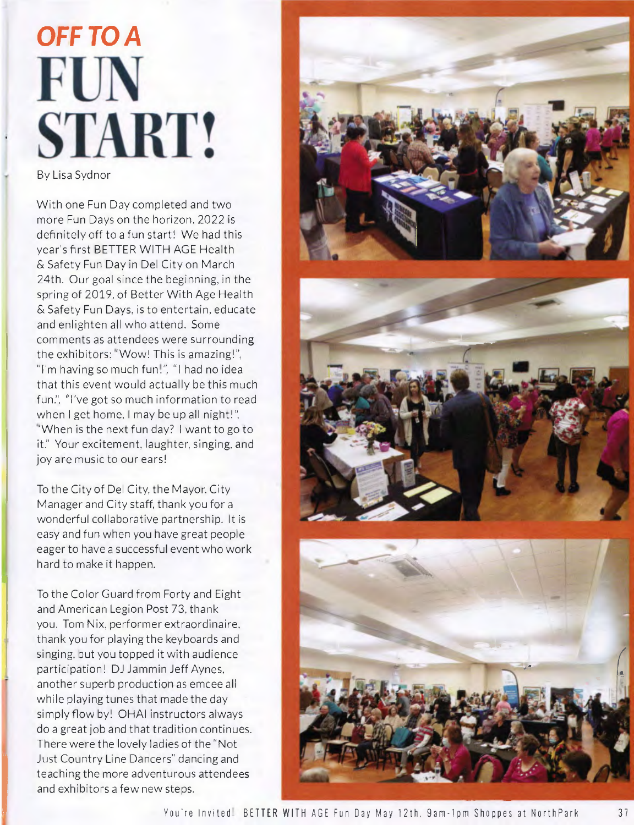## *OFF TO A*  **FUN START!**

By Lisa Sydnor

With one Fun Day completed and two more Fun Days on the horizon. 2022 is definitely off to a fun start! We had this year's first BETTER WITH AGE Health & Safety Fun Day in Del City on March 24th. Our goal since the beginning, in the spring of 2019, of Better With Age Health & Safety Fun Days. is to entertain, educate and enlighten all who attend. Some comments as attendees were surrounding the exhibitors: "Wow! This is amazing!", "I'm having so much fun!". "I had no idea that this event would actually be this much fun.", "I've got so much information to read when I get home. I may be up all night!", "When is the next fun day? I want to go to it." Your excitement, laughter, singing, and joy are music to our ears!

To the City of Del City. the Mayor. City Manager and City staff, thank you for a wonderful collaborative partnership. It is easy and fun when you have great people eager to have a successful event who work hard to make it happen.

To the Color Guard from Forty and Eight and American Legion Post 73, thank you. Tom Nix, performer extraordinaire, thank you for playing the keyboards and singing, but you topped it with audience participation! DJ Jammin Jeff Aynes, another superb production as emcee all while playing tunes that made the day simply flow by! OHAI instructors always do a great job and that tradition continues. There were the lovely ladies of the "Not Just Country Line Dancers" dancing and teaching the more adventurous attendees and exhibitors a few new steps.